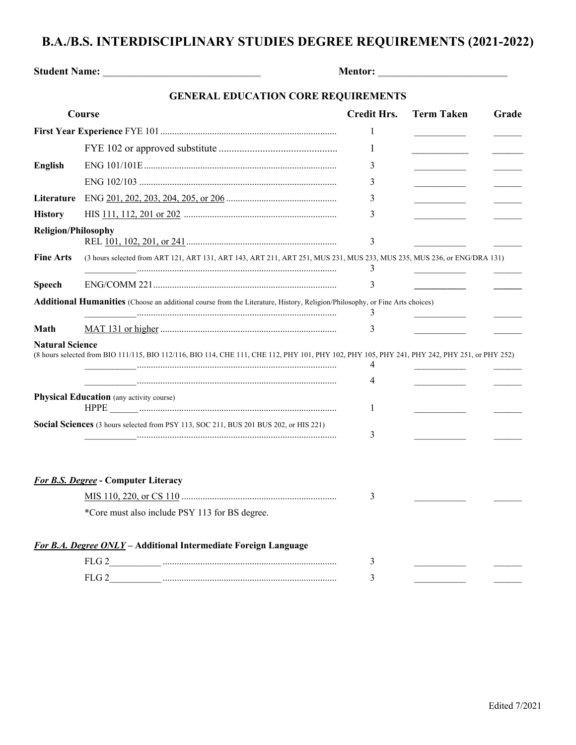## **B.A./B.S. INTERDISCIPLINARY STUDIES DEGREE REQUIREMENTS (2021-2022)**

| Student Name: Name:                                                                                                                                                                                                                                                                                                                                                                                                       |                                                                                                                                               |                    |                   |       |
|---------------------------------------------------------------------------------------------------------------------------------------------------------------------------------------------------------------------------------------------------------------------------------------------------------------------------------------------------------------------------------------------------------------------------|-----------------------------------------------------------------------------------------------------------------------------------------------|--------------------|-------------------|-------|
|                                                                                                                                                                                                                                                                                                                                                                                                                           | <b>GENERAL EDUCATION CORE REQUIREMENTS</b>                                                                                                    |                    |                   |       |
| Course                                                                                                                                                                                                                                                                                                                                                                                                                    |                                                                                                                                               | <b>Credit Hrs.</b> | <b>Term Taken</b> | Grade |
|                                                                                                                                                                                                                                                                                                                                                                                                                           |                                                                                                                                               | 1                  |                   |       |
|                                                                                                                                                                                                                                                                                                                                                                                                                           |                                                                                                                                               | 1                  |                   |       |
| <b>English</b>                                                                                                                                                                                                                                                                                                                                                                                                            |                                                                                                                                               | 3                  |                   |       |
|                                                                                                                                                                                                                                                                                                                                                                                                                           |                                                                                                                                               | 3                  |                   |       |
| Literature                                                                                                                                                                                                                                                                                                                                                                                                                |                                                                                                                                               | 3                  |                   |       |
| <b>History</b>                                                                                                                                                                                                                                                                                                                                                                                                            |                                                                                                                                               | 3                  |                   |       |
| <b>Religion/Philosophy</b>                                                                                                                                                                                                                                                                                                                                                                                                |                                                                                                                                               | 3                  |                   |       |
| <b>Fine Arts</b>                                                                                                                                                                                                                                                                                                                                                                                                          | (3 hours selected from ART 121, ART 131, ART 143, ART 211, ART 251, MUS 231, MUS 233, MUS 235, MUS 236, or ENG/DRA 131)                       | 3                  |                   |       |
| <b>Speech</b>                                                                                                                                                                                                                                                                                                                                                                                                             |                                                                                                                                               | 3                  |                   |       |
|                                                                                                                                                                                                                                                                                                                                                                                                                           | <b>Additional Humanities</b> (Choose an additional course from the Literature, History, Religion/Philosophy, or Fine Arts choices)            | 3                  |                   |       |
| Math                                                                                                                                                                                                                                                                                                                                                                                                                      |                                                                                                                                               | 3                  |                   |       |
| <b>Natural Science</b>                                                                                                                                                                                                                                                                                                                                                                                                    | (8 hours selected from BIO 111/115, BIO 112/116, BIO 114, CHE 111, CHE 112, PHY 101, PHY 102, PHY 105, PHY 241, PHY 242, PHY 251, or PHY 252) | 4<br>4             |                   |       |
| <b>Physical Education</b> (any activity course)<br>$\rm HPPE \begin{picture}(10,10) \put(0,0){\vector(1,0){100}} \put(10,0){\vector(1,0){100}} \put(10,0){\vector(1,0){100}} \put(10,0){\vector(1,0){100}} \put(10,0){\vector(1,0){100}} \put(10,0){\vector(1,0){100}} \put(10,0){\vector(1,0){100}} \put(10,0){\vector(1,0){100}} \put(10,0){\vector(1,0){100}} \put(10,0){\vector(1,0){100}} \put(10,0){\vector(1,0){1$ |                                                                                                                                               | 1                  |                   |       |
|                                                                                                                                                                                                                                                                                                                                                                                                                           | Social Sciences (3 hours selected from PSY 113, SOC 211, BUS 201 BUS 202, or HIS 221)                                                         | 3                  |                   |       |
|                                                                                                                                                                                                                                                                                                                                                                                                                           | <b>For B.S. Degree - Computer Literacy</b>                                                                                                    |                    |                   |       |
|                                                                                                                                                                                                                                                                                                                                                                                                                           |                                                                                                                                               | 3                  |                   |       |
|                                                                                                                                                                                                                                                                                                                                                                                                                           | *Core must also include PSY 113 for BS degree.                                                                                                |                    |                   |       |
|                                                                                                                                                                                                                                                                                                                                                                                                                           | For B.A. Degree ONLY - Additional Intermediate Foreign Language                                                                               |                    |                   |       |
|                                                                                                                                                                                                                                                                                                                                                                                                                           | FLG <sub>2</sub>                                                                                                                              | 3                  |                   |       |

FLG 2\_\_\_\_\_\_\_\_\_\_\_ .......................................................................... 3 \_\_\_\_\_\_\_\_\_\_\_ \_\_\_\_\_\_